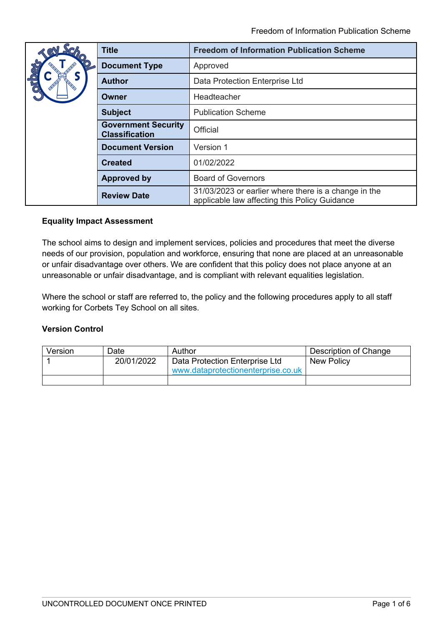|                         | <b>Title</b>                                        | <b>Freedom of Information Publication Scheme</b>                                                      |
|-------------------------|-----------------------------------------------------|-------------------------------------------------------------------------------------------------------|
|                         | <b>Document Type</b>                                | Approved                                                                                              |
| $\overline{\mathrm{d}}$ | <b>Author</b>                                       | Data Protection Enterprise Ltd                                                                        |
|                         | Owner                                               | Headteacher                                                                                           |
|                         | <b>Subject</b>                                      | <b>Publication Scheme</b>                                                                             |
|                         | <b>Government Security</b><br><b>Classification</b> | Official                                                                                              |
|                         | <b>Document Version</b>                             | Version 1                                                                                             |
|                         | <b>Created</b>                                      | 01/02/2022                                                                                            |
|                         | <b>Approved by</b>                                  | <b>Board of Governors</b>                                                                             |
|                         | <b>Review Date</b>                                  | 31/03/2023 or earlier where there is a change in the<br>applicable law affecting this Policy Guidance |

# **Equality Impact Assessment**

The school aims to design and implement services, policies and procedures that meet the diverse needs of our provision, population and workforce, ensuring that none are placed at an unreasonable or unfair disadvantage over others. We are confident that this policy does not place anyone at an unreasonable or unfair disadvantage, and is compliant with relevant equalities legislation.

Where the school or staff are referred to, the policy and the following procedures apply to all staff working for Corbets Tey School on all sites.

### **Version Control**

| Version | Date       | Author                             | Description of Change |
|---------|------------|------------------------------------|-----------------------|
|         | 20/01/2022 | Data Protection Enterprise Ltd     | New Policy            |
|         |            | www.dataprotectionenterprise.co.uk |                       |
|         |            |                                    |                       |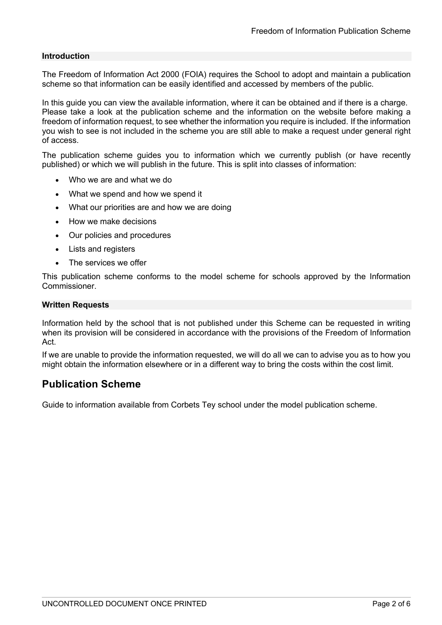#### **Introduction**

The Freedom of Information Act 2000 (FOIA) requires the School to adopt and maintain a publication scheme so that information can be easily identified and accessed by members of the public.

In this guide you can view the available information, where it can be obtained and if there is a charge. Please take a look at the publication scheme and the information on the website before making a freedom of information request, to see whether the information you require is included. If the information you wish to see is not included in the scheme you are still able to make a request under general right of access.

The publication scheme guides you to information which we currently publish (or have recently published) or which we will publish in the future. This is split into classes of information:

- Who we are and what we do
- What we spend and how we spend it
- What our priorities are and how we are doing
- How we make decisions
- Our policies and procedures
- Lists and registers
- The services we offer

This publication scheme conforms to the model scheme for schools approved by the Information Commissioner.

#### **Written Requests**

Information held by the school that is not published under this Scheme can be requested in writing when its provision will be considered in accordance with the provisions of the Freedom of Information Act.

If we are unable to provide the information requested, we will do all we can to advise you as to how you might obtain the information elsewhere or in a different way to bring the costs within the cost limit.

# **Publication Scheme**

Guide to information available from Corbets Tey school under the model publication scheme.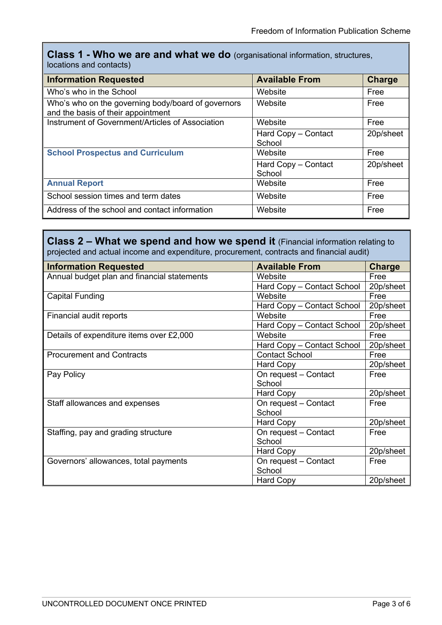**Class 1 - Who we are and what we do** (organisational information, structures, locations and contacts)

| <b>Information Requested</b>                                                             | <b>Available From</b>         | <b>Charge</b> |
|------------------------------------------------------------------------------------------|-------------------------------|---------------|
| Who's who in the School                                                                  | Website                       | Free          |
| Who's who on the governing body/board of governors<br>and the basis of their appointment | Website                       | Free          |
| Instrument of Government/Articles of Association                                         | Website                       | Free          |
|                                                                                          | Hard Copy - Contact<br>School | 20p/sheet     |
| <b>School Prospectus and Curriculum</b>                                                  | Website                       | Free          |
|                                                                                          | Hard Copy - Contact<br>School | 20p/sheet     |
| <b>Annual Report</b>                                                                     | Website                       | Free          |
| School session times and term dates                                                      | Website                       | Free          |
| Address of the school and contact information                                            | Website                       | Free          |

**Class 2 – What we spend and how we spend it** (Financial information relating to projected and actual income and expenditure, procurement, contracts and financial audit)

| <b>Information Requested</b>                | <b>Available From</b>      | <b>Charge</b> |
|---------------------------------------------|----------------------------|---------------|
| Annual budget plan and financial statements | Website                    | Free          |
|                                             | Hard Copy - Contact School | 20p/sheet     |
| <b>Capital Funding</b>                      | Website                    | Free          |
|                                             | Hard Copy - Contact School | 20p/sheet     |
| Financial audit reports                     | Website                    | Free          |
|                                             | Hard Copy - Contact School | 20p/sheet     |
| Details of expenditure items over £2,000    | Website                    | Free          |
|                                             | Hard Copy - Contact School | 20p/sheet     |
| <b>Procurement and Contracts</b>            | <b>Contact School</b>      | Free          |
|                                             | <b>Hard Copy</b>           | 20p/sheet     |
| Pay Policy                                  | On request - Contact       | Free          |
|                                             | School                     |               |
|                                             | <b>Hard Copy</b>           | 20p/sheet     |
| Staff allowances and expenses               | On request - Contact       | Free          |
|                                             | School                     |               |
|                                             | <b>Hard Copy</b>           | 20p/sheet     |
| Staffing, pay and grading structure         | On request - Contact       | Free          |
|                                             | School                     |               |
|                                             | Hard Copy                  | 20p/sheet     |
| Governors' allowances, total payments       | On request - Contact       | Free          |
|                                             | School                     |               |
|                                             | <b>Hard Copy</b>           | 20p/sheet     |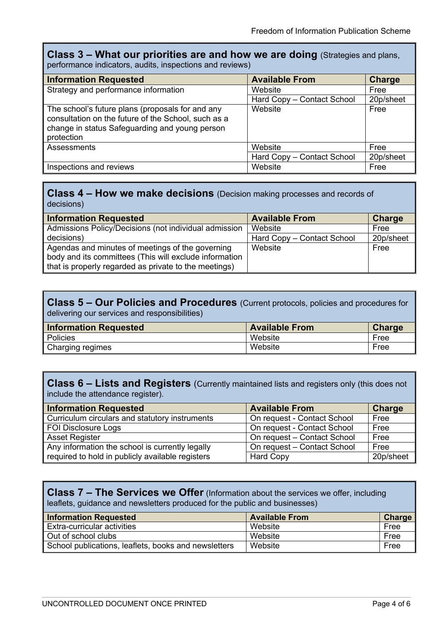### **Class 3 – What our priorities are and how we are doing** (Strategies and plans, performance indicators, audits, inspections and reviews)

| <b>Information Requested</b>                                                                                                                                            | <b>Available From</b>      | <b>Charge</b> |
|-------------------------------------------------------------------------------------------------------------------------------------------------------------------------|----------------------------|---------------|
| Strategy and performance information                                                                                                                                    | Website                    | Free          |
|                                                                                                                                                                         | Hard Copy - Contact School | 20p/sheet     |
| The school's future plans (proposals for and any<br>consultation on the future of the School, such as a<br>change in status Safeguarding and young person<br>protection | Website                    | Free          |
| Assessments                                                                                                                                                             | Website                    | Free          |
|                                                                                                                                                                         | Hard Copy - Contact School | 20p/sheet     |
| Inspections and reviews                                                                                                                                                 | Website                    | Free          |

# **Class 4 – How we make decisions** (Decision making processes and records of decisions)

| <b>Information Requested</b>                           | <b>Available From</b>      | <b>Charge</b> |
|--------------------------------------------------------|----------------------------|---------------|
| Admissions Policy/Decisions (not individual admission  | Website                    | Free          |
| decisions)                                             | Hard Copy - Contact School | 20p/sheet     |
| Agendas and minutes of meetings of the governing       | Website                    | Free          |
| body and its committees (This will exclude information |                            |               |
| that is properly regarded as private to the meetings)  |                            |               |

### **Class 5 – Our Policies and Procedures** (Current protocols, policies and procedures for delivering our services and responsibilities)

| <b>Information Requested</b> | <b>Available From</b> | Charge |
|------------------------------|-----------------------|--------|
| Policies                     | Website               | Free   |
| Charging regimes             | Website               | Free   |

# **Class 6 – Lists and Registers** (Currently maintained lists and registers only (this does not include the attendance register).

| <b>Information Requested</b>                     | <b>Available From</b>       | <b>Charge</b> |
|--------------------------------------------------|-----------------------------|---------------|
| Curriculum circulars and statutory instruments   | On request - Contact School | Free          |
| FOI Disclosure Logs                              | On request - Contact School | Free          |
| <b>Asset Register</b>                            | On request - Contact School | Free          |
| Any information the school is currently legally  | On request - Contact School | Free          |
| required to hold in publicly available registers | <b>Hard Copy</b>            | 20p/sheet     |

# **Class 7 – The Services we Offer** (Information about the services we offer, including leaflets, guidance and newsletters produced for the public and businesses)

| <b>Information Requested</b>                         | <b>Available From</b> | <b>Charge</b> |
|------------------------------------------------------|-----------------------|---------------|
| Extra-curricular activities                          | Website               | Free          |
| Out of school clubs                                  | Website               | Free          |
| School publications, leaflets, books and newsletters | Website               | Free          |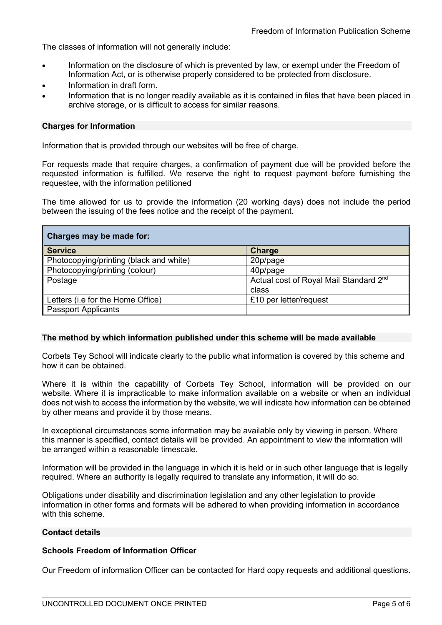The classes of information will not generally include:

- Information on the disclosure of which is prevented by law, or exempt under the Freedom of Information Act, or is otherwise properly considered to be protected from disclosure.
- Information in draft form.
- Information that is no longer readily available as it is contained in files that have been placed in archive storage, or is difficult to access for similar reasons.

#### **Charges for Information**

Information that is provided through our websites will be free of charge.

For requests made that require charges, a confirmation of payment due will be provided before the requested information is fulfilled. We reserve the right to request payment before furnishing the requestee, with the information petitioned

The time allowed for us to provide the information (20 working days) does not include the period between the issuing of the fees notice and the receipt of the payment.

| Charges may be made for:                |                                                    |  |
|-----------------------------------------|----------------------------------------------------|--|
| <b>Service</b>                          | <b>Charge</b>                                      |  |
| Photocopying/printing (black and white) | 20p/page                                           |  |
| Photocopying/printing (colour)          | 40p/page                                           |  |
| Postage                                 | Actual cost of Royal Mail Standard 2 <sup>nd</sup> |  |
|                                         | class                                              |  |
| Letters (i.e for the Home Office)       | £10 per letter/request                             |  |
| <b>Passport Applicants</b>              |                                                    |  |

#### **The method by which information published under this scheme will be made available**

Corbets Tey School will indicate clearly to the public what information is covered by this scheme and how it can be obtained.

Where it is within the capability of Corbets Tey School, information will be provided on our website. Where it is impracticable to make information available on a website or when an individual does not wish to access the information by the website, we will indicate how information can be obtained by other means and provide it by those means.

In exceptional circumstances some information may be available only by viewing in person. Where this manner is specified, contact details will be provided. An appointment to view the information will be arranged within a reasonable timescale.

Information will be provided in the language in which it is held or in such other language that is legally required. Where an authority is legally required to translate any information, it will do so.

Obligations under disability and discrimination legislation and any other legislation to provide information in other forms and formats will be adhered to when providing information in accordance with this scheme.

#### **Contact details**

### **Schools Freedom of Information Officer**

Our Freedom of information Officer can be contacted for Hard copy requests and additional questions.